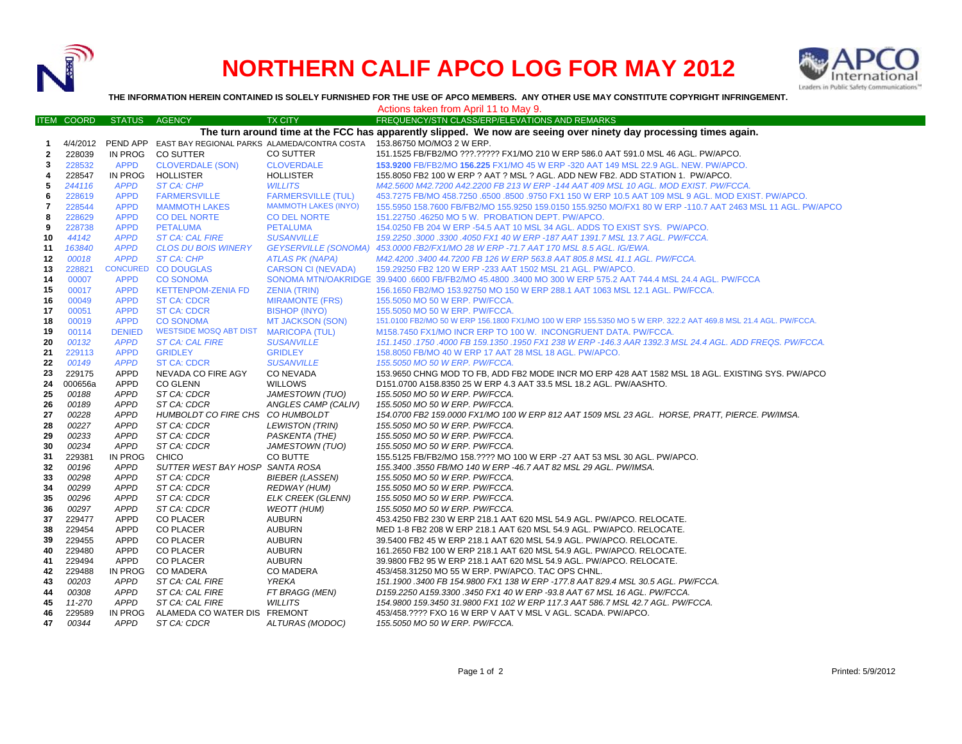

## **NORTHERN CALIF APCO LOG FOR MAY 2012**



**THE INFORMATION HEREIN CONTAINED IS SOLELY FURNISHED FOR THE USE OF APCO MEMBERS. ANY OTHER USE MAY CONSTITUTE COPYRIGHT INFRINGEMENT.**

|                                                                                                                   |                   |                 |                                       |                             | Actions taken from April 11 to May 9.                                                                          |  |  |  |  |  |
|-------------------------------------------------------------------------------------------------------------------|-------------------|-----------------|---------------------------------------|-----------------------------|----------------------------------------------------------------------------------------------------------------|--|--|--|--|--|
|                                                                                                                   | <b>ITEM COORD</b> | <b>STATUS</b>   | <b>AGENCY</b>                         | <b>TX CITY</b>              | FREQUENCY/STN CLASS/ERP/ELEVATIONS AND REMARKS                                                                 |  |  |  |  |  |
| The turn around time at the FCC has apparently slipped. We now are seeing over ninety day processing times again. |                   |                 |                                       |                             |                                                                                                                |  |  |  |  |  |
| 1                                                                                                                 | 4/4/2012          | PEND APP        |                                       |                             | EAST BAY REGIONAL PARKS ALAMEDA/CONTRA COSTA 153.86750 MO/MO3 2 W ERP.                                         |  |  |  |  |  |
| $\mathbf{2}$                                                                                                      | 228039            | IN PROG         | <b>CO SUTTER</b>                      | CO SUTTER                   | 151.1525 FB/FB2/MO ???.????? FX1/MO 210 W ERP 586.0 AAT 591.0 MSL 46 AGL. PW/APCO.                             |  |  |  |  |  |
| 3                                                                                                                 | 228532            | <b>APPD</b>     | <b>CLOVERDALE (SON)</b>               | <b>CLOVERDALE</b>           | 153.9200 FB/FB2/MO 156.225 FX1/MO 45 W ERP -320 AAT 149 MSL 22.9 AGL. NEW. PW/APCO.                            |  |  |  |  |  |
| 4                                                                                                                 | 228547            | <b>IN PROG</b>  | <b>HOLLISTER</b>                      | <b>HOLLISTER</b>            | 155,8050 FB2 100 W ERP ? AAT ? MSL ? AGL, ADD NEW FB2, ADD STATION 1, PW/APCO,                                 |  |  |  |  |  |
| 5                                                                                                                 | 244116            | <b>APPD</b>     | ST CA: CHP                            | <b>WILLITS</b>              | M42.5600 M42.7200 A42.2200 FB 213 W ERP -144 AAT 409 MSL 10 AGL. MOD EXIST. PW/FCCA.                           |  |  |  |  |  |
| 6                                                                                                                 | 228619            | <b>APPD</b>     | <b>FARMERSVILLE</b>                   | <b>FARMERSVILLE (TUL)</b>   | 453.7275 FB/MO 458.7250 .6500 .8500 .9750 FX1 150 W ERP 10.5 AAT 109 MSL 9 AGL. MOD EXIST. PW/APCO.            |  |  |  |  |  |
| 7                                                                                                                 | 228544            | <b>APPD</b>     | <b>MAMMOTH LAKES</b>                  | <b>MAMMOTH LAKES (INYO)</b> | 155.5950 158.7600 FB/FB2/MO 155.9250 159.0150 155.9250 MO/FX1 80 W ERP -110.7 AAT 2463 MSL 11 AGL. PW/APCO     |  |  |  |  |  |
| 8                                                                                                                 | 228629            | <b>APPD</b>     | <b>CO DEL NORTE</b>                   | <b>CO DEL NORTE</b>         | 151.22750 .46250 MO 5 W. PROBATION DEPT. PW/APCO.                                                              |  |  |  |  |  |
| 9                                                                                                                 | 228738            | <b>APPD</b>     | <b>PETALUMA</b>                       | <b>PETALUMA</b>             | 154.0250 FB 204 W ERP -54.5 AAT 10 MSL 34 AGL. ADDS TO EXIST SYS. PW/APCO.                                     |  |  |  |  |  |
| 10                                                                                                                | 44142             | <b>APPD</b>     | <b>ST CA: CAL FIRE</b>                | <b>SUSANVILLE</b>           | 159.2250 .3000 .3300 .4050 FX1 40 W ERP -187 AAT 1391.7 MSL 13.7 AGL. PW/FCCA.                                 |  |  |  |  |  |
| 11                                                                                                                | 163840            | <b>APPD</b>     | <b>CLOS DU BOIS WINERY</b>            |                             | GEYSERVILLE (SONOMA) 453.0000 FB2/FX1/MO 28 W ERP -71.7 AAT 170 MSL 8.5 AGL. IG/EWA.                           |  |  |  |  |  |
| 12                                                                                                                | 00018             | <b>APPD</b>     | <b>ST CA: CHP</b>                     | <b>ATLAS PK (NAPA)</b>      | M42.4200.3400 44.7200 FB 126 W ERP 563.8 AAT 805.8 MSL 41.1 AGL. PW/FCCA.                                      |  |  |  |  |  |
| 13                                                                                                                | 228821            | <b>CONCURED</b> | <b>CO DOUGLAS</b>                     | <b>CARSON CI (NEVADA)</b>   | 159.29250 FB2 120 W ERP -233 AAT 1502 MSL 21 AGL. PW/APCO.                                                     |  |  |  |  |  |
| 14                                                                                                                | 00007             | <b>APPD</b>     | <b>CO SONOMA</b>                      |                             | SONOMA MTN/OAKRIDGE 39.9400 .6600 FB/FB2/MO 45.4800 .3400 MO 300 W ERP 575.2 AAT 744.4 MSL 24.4 AGL. PW/FCCA   |  |  |  |  |  |
| 15                                                                                                                | 00017             | <b>APPD</b>     | <b>KETTENPOM-ZENIA FD</b>             | <b>ZENIA (TRIN)</b>         | 156.1650 FB2/MO 153.92750 MO 150 W ERP 288.1 AAT 1063 MSL 12.1 AGL. PW/FCCA.                                   |  |  |  |  |  |
| 16                                                                                                                | 00049             | <b>APPD</b>     | <b>ST CA: CDCR</b>                    | <b>MIRAMONTE (FRS)</b>      | 155.5050 MO 50 W ERP. PW/FCCA.                                                                                 |  |  |  |  |  |
| 17                                                                                                                | 00051             | <b>APPD</b>     | <b>ST CA: CDCR</b>                    | <b>BISHOP (INYO)</b>        | 155,5050 MO 50 W ERP. PW/FCCA.                                                                                 |  |  |  |  |  |
| 18                                                                                                                | 00019             | <b>APPD</b>     | <b>CO SONOMA</b>                      | <b>MT JACKSON (SON)</b>     | 151.0100 FB2/MO 50 W ERP 156.1800 FX1/MO 100 W ERP 155.5350 MO 5 W ERP. 322.2 AAT 469.8 MSL 21.4 AGL. PW/FCCA. |  |  |  |  |  |
| 19                                                                                                                | 00114             | <b>DENIED</b>   | WESTSIDE MOSQ ABT DIST MARICOPA (TUL) |                             | M158.7450 FX1/MO INCR ERP TO 100 W. INCONGRUENT DATA. PW/FCCA.                                                 |  |  |  |  |  |
| 20                                                                                                                | 00132             | <b>APPD</b>     | <b>ST CA: CAL FIRE</b>                | <b>SUSANVILLE</b>           | 151.1450 .1750 .4000 FB 159.1350 .1950 FX1 238 W ERP -146.3 AAR 1392.3 MSL 24.4 AGL. ADD FREQS. PW/FCCA.       |  |  |  |  |  |
| 21                                                                                                                | 229113            | <b>APPD</b>     | <b>GRIDLEY</b>                        | <b>GRIDLEY</b>              | 158.8050 FB/MO 40 W ERP 17 AAT 28 MSL 18 AGL. PW/APCO.                                                         |  |  |  |  |  |
| 22                                                                                                                | 00149             | <b>APPD</b>     | <b>ST CA: CDCR</b>                    | <b>SUSANVILLE</b>           | 155.5050 MO 50 W ERP. PW/FCCA.                                                                                 |  |  |  |  |  |
| 23                                                                                                                | 229175            | <b>APPD</b>     | NEVADA CO FIRE AGY                    | <b>CO NEVADA</b>            | 153.9650 CHNG MOD TO FB. ADD FB2 MODE INCR MO ERP 428 AAT 1582 MSL 18 AGL. EXISTING SYS. PW/APCO               |  |  |  |  |  |
| 24                                                                                                                | 000656a           | <b>APPD</b>     | <b>CO GLENN</b>                       | <b>WILLOWS</b>              | D151.0700 A158.8350 25 W ERP 4.3 AAT 33.5 MSL 18.2 AGL. PW/AASHTO.                                             |  |  |  |  |  |
| 25                                                                                                                | 00188             | <b>APPD</b>     | ST CA: CDCR                           | JAMESTOWN (TUO)             | 155.5050 MO 50 W ERP. PW/FCCA.                                                                                 |  |  |  |  |  |
| 26                                                                                                                | 00189             | <b>APPD</b>     | ST CA: CDCR                           | ANGLES CAMP (CALIV)         | 155.5050 MO 50 W ERP. PW/FCCA.                                                                                 |  |  |  |  |  |
| 27                                                                                                                | 00228             | <b>APPD</b>     | HUMBOLDT CO FIRE CHS CO HUMBOLDT      |                             | 154.0700 FB2 159.0000 FX1/MO 100 W ERP 812 AAT 1509 MSL 23 AGL. HORSE, PRATT, PIERCE. PW/IMSA.                 |  |  |  |  |  |
| 28                                                                                                                | 00227             | <b>APPD</b>     | ST CA: CDCR                           | <b>LEWISTON (TRIN)</b>      | 155.5050 MO 50 W ERP. PW/FCCA.                                                                                 |  |  |  |  |  |
| 29                                                                                                                | 00233             | <b>APPD</b>     | ST CA: CDCR                           | PASKENTA (THE)              | 155.5050 MO 50 W ERP. PW/FCCA.                                                                                 |  |  |  |  |  |
| 30                                                                                                                | 00234             | <b>APPD</b>     | ST CA: CDCR                           | JAMESTOWN (TUO)             | 155.5050 MO 50 W ERP. PW/FCCA.                                                                                 |  |  |  |  |  |
| 31                                                                                                                | 229381            | <b>IN PROG</b>  | <b>CHICO</b>                          | CO BUTTE                    | 155.5125 FB/FB2/MO 158.???? MO 100 W ERP -27 AAT 53 MSL 30 AGL. PW/APCO.                                       |  |  |  |  |  |
| 32                                                                                                                | 00196             | <b>APPD</b>     | SUTTER WEST BAY HOSP SANTA ROSA       |                             | 155.3400 .3550 FB/MO 140 W ERP -46.7 AAT 82 MSL 29 AGL. PW/IMSA.                                               |  |  |  |  |  |
| 33                                                                                                                | 00298             | <b>APPD</b>     | ST CA: CDCR                           | <b>BIEBER (LASSEN)</b>      | 155.5050 MO 50 W ERP. PW/FCCA.                                                                                 |  |  |  |  |  |
| 34                                                                                                                | 00299             | APPD            | ST CA: CDCR                           | REDWAY (HUM)                | 155.5050 MO 50 W ERP. PW/FCCA.                                                                                 |  |  |  |  |  |
| 35                                                                                                                | 00296             | <b>APPD</b>     | ST CA: CDCR                           | <b>ELK CREEK (GLENN)</b>    | 155.5050 MO 50 W ERP. PW/FCCA.                                                                                 |  |  |  |  |  |
| 36                                                                                                                | 00297             | <b>APPD</b>     | ST CA: CDCR                           | <b>WEOTT (HUM)</b>          | 155.5050 MO 50 W ERP. PW/FCCA.                                                                                 |  |  |  |  |  |
| 37                                                                                                                | 229477            | <b>APPD</b>     | <b>CO PLACER</b>                      | <b>AUBURN</b>               | 453.4250 FB2 230 W ERP 218.1 AAT 620 MSL 54.9 AGL. PW/APCO. RELOCATE.                                          |  |  |  |  |  |
| 38                                                                                                                | 229454            | <b>APPD</b>     | <b>CO PLACER</b>                      | <b>AUBURN</b>               | MED 1-8 FB2 208 W ERP 218.1 AAT 620 MSL 54.9 AGL. PW/APCO. RELOCATE.                                           |  |  |  |  |  |
| 39                                                                                                                | 229455            | APPD            | <b>CO PLACER</b>                      | <b>AUBURN</b>               | 39.5400 FB2 45 W ERP 218.1 AAT 620 MSL 54.9 AGL. PW/APCO. RELOCATE.                                            |  |  |  |  |  |
| 40                                                                                                                | 229480            | <b>APPD</b>     | <b>CO PLACER</b>                      | <b>AUBURN</b>               | 161.2650 FB2 100 W ERP 218.1 AAT 620 MSL 54.9 AGL. PW/APCO. RELOCATE.                                          |  |  |  |  |  |
| 41                                                                                                                | 229494            | <b>APPD</b>     | <b>CO PLACER</b>                      | <b>AUBURN</b>               | 39.9800 FB2 95 W ERP 218.1 AAT 620 MSL 54.9 AGL. PW/APCO. RELOCATE.                                            |  |  |  |  |  |
| 42                                                                                                                | 229488            | <b>IN PROG</b>  | <b>CO MADERA</b>                      | <b>CO MADERA</b>            | 453/458.31250 MO 55 W ERP. PW/APCO. TAC OPS CHNL.                                                              |  |  |  |  |  |
| 43                                                                                                                | 00203             | APPD            | ST CA: CAL FIRE                       | <b>YREKA</b>                | 151.1900.3400 FB 154.9800 FX1 138 W ERP -177.8 AAT 829.4 MSL 30.5 AGL. PW/FCCA.                                |  |  |  |  |  |
| 44                                                                                                                | 00308             | APPD            | ST CA: CAL FIRE                       | FT BRAGG (MEN)              | D159.2250 A159.3300 .3450 FX1 40 W ERP -93.8 AAT 67 MSL 16 AGL. PW/FCCA.                                       |  |  |  |  |  |
| 45                                                                                                                | 11-270            | APPD            | ST CA: CAL FIRE                       | <b>WILLITS</b>              | 154.9800 159.3450 31.9800 FX1 102 W ERP 117.3 AAT 586.7 MSL 42.7 AGL. PW/FCCA.                                 |  |  |  |  |  |
| 46                                                                                                                | 229589            | <b>IN PROG</b>  | ALAMEDA CO WATER DIS FREMONT          |                             | 453/458.???? FXO 16 W ERP V AAT V MSL V AGL. SCADA. PW/APCO.                                                   |  |  |  |  |  |
| 47                                                                                                                | 00344             | <b>APPD</b>     | ST CA: CDCR                           | ALTURAS (MODOC)             | 155.5050 MO 50 W ERP. PW/FCCA.                                                                                 |  |  |  |  |  |